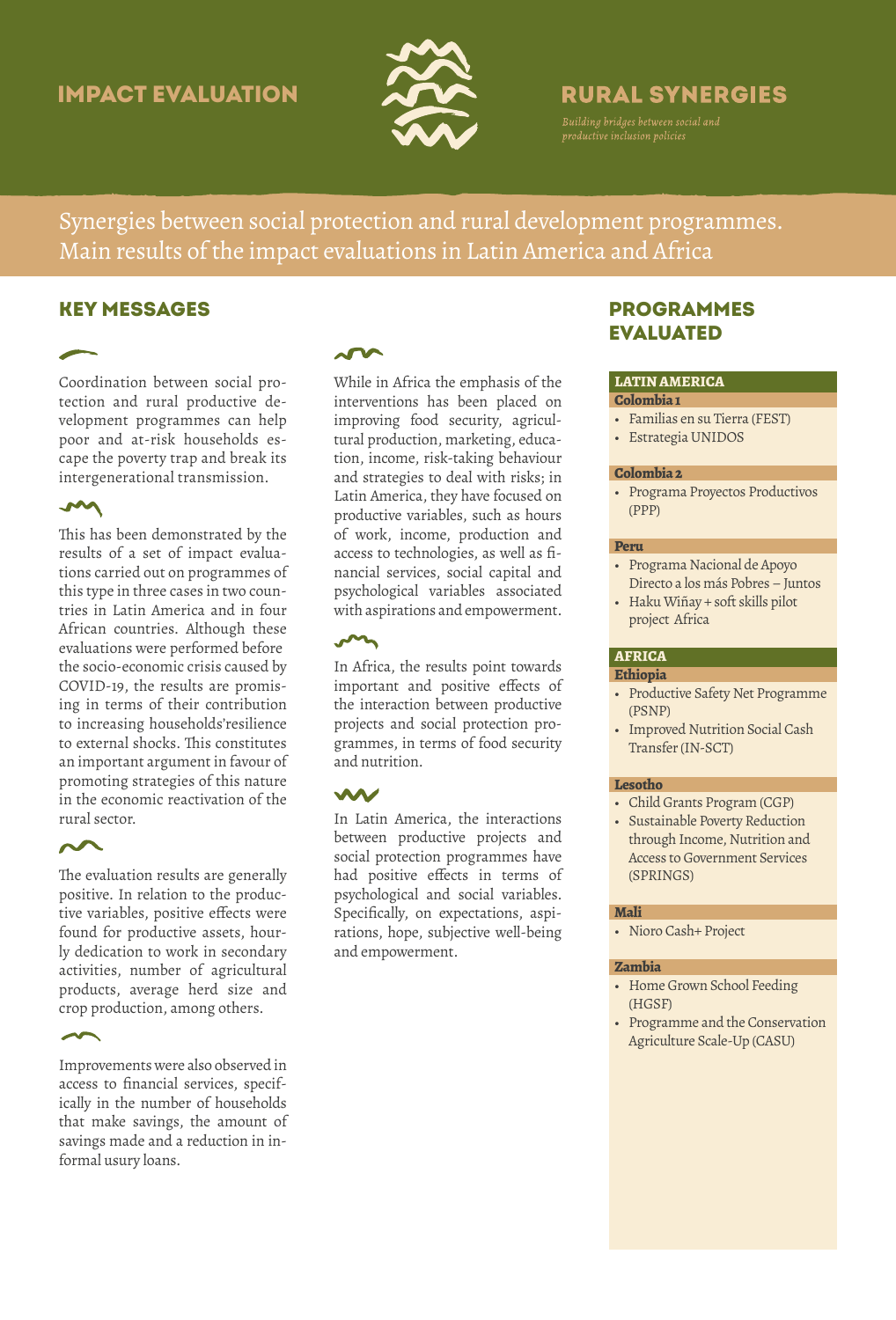# Impact evaluation



# **RURAL SYNERGIES**

Synergies between social protection and rural development programmes. Main results of the impact evaluations in Latin America and Africa

# Key messages

Coordination between social protection and rural productive development programmes can help poor and at-risk households escape the poverty trap and break its intergenerational transmission.

## $\sim$

This has been demonstrated by the results of a set of impact evaluations carried out on programmes of this type in three cases in two countries in Latin America and in four African countries. Although these evaluations were performed before the socio-economic crisis caused by COVID-19, the results are promising in terms of their contribution to increasing households'resilience to external shocks. This constitutes an important argument in favour of promoting strategies of this nature in the economic reactivation of the rural sector.

## $\sim$

The evaluation results are generally positive. In relation to the productive variables, positive effects were found for productive assets, hourly dedication to work in secondary activities, number of agricultural products, average herd size and crop production, among others.

Improvements were also observed in access to financial services, specifically in the number of households that make savings, the amount of savings made and a reduction in informal usury loans.

While in Africa the emphasis of the interventions has been placed on improving food security, agricultural production, marketing, education, income, risk-taking behaviour and strategies to deal with risks; in Latin America, they have focused on productive variables, such as hours of work, income, production and access to technologies, as well as financial services, social capital and psychological variables associated with aspirations and empowerment.

# $\sim$

In Africa, the results point towards important and positive effects of the interaction between productive projects and social protection programmes, in terms of food security and nutrition.

In Latin America, the interactions between productive projects and social protection programmes have had positive effects in terms of psychological and social variables. Specifically, on expectations, aspirations, hope, subjective well-being and empowerment.

# **PROGRAMMES EVALUATED**

#### **LATIN AMERICA**

- **Colombia 1**
- Familias en su Tierra (FEST)
- Estrategia UNIDOS

#### **Colombia 2**

• Programa Proyectos Productivos (PPP)

#### **Peru**

- Programa Nacional de Apoyo Directo a los más Pobres – Juntos
- Haku Wiñay + soft skills pilot project Africa

## **AFRICA**

#### **Ethiopia**

- Productive Safety Net Programme (PSNP)
- Improved Nutrition Social Cash Transfer (IN-SCT)

#### **Lesotho**

- Child Grants Program (CGP)
- Sustainable Poverty Reduction through Income, Nutrition and Access to Government Services (SPRINGS)

### **Mali**

• Nioro Cash+ Project

#### **Zambia**

- Home Grown School Feeding (HGSF)
- Programme and the Conservation Agriculture Scale-Up (CASU)